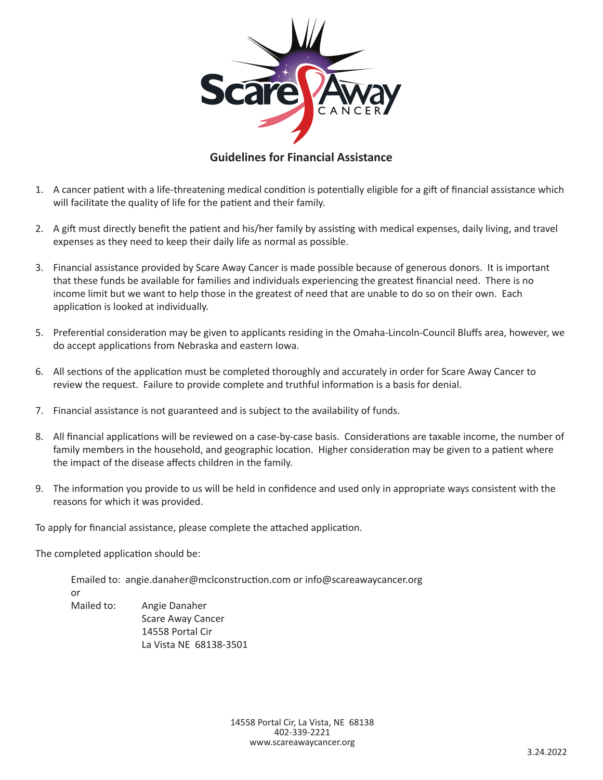

# **Guidelines for Financial Assistance**

- 1. A cancer patient with a life-threatening medical condition is potentially eligible for a gift of financial assistance which will facilitate the quality of life for the patient and their family.
- 2. A gift must directly benefit the patient and his/her family by assisting with medical expenses, daily living, and travel expenses as they need to keep their daily life as normal as possible.
- 3. Financial assistance provided by Scare Away Cancer is made possible because of generous donors. It is important that these funds be available for families and individuals experiencing the greatest financial need. There is no income limit but we want to help those in the greatest of need that are unable to do so on their own. Each application is looked at individually.
- 5. Preferential consideration may be given to applicants residing in the Omaha-Lincoln-Council Bluffs area, however, we do accept applications from Nebraska and eastern Iowa.
- 6. All sections of the application must be completed thoroughly and accurately in order for Scare Away Cancer to review the request. Failure to provide complete and truthful information is a basis for denial.
- 7. Financial assistance is not guaranteed and is subject to the availability of funds.
- 8. All financial applications will be reviewed on a case-by-case basis. Considerations are taxable income, the number of family members in the household, and geographic location. Higher consideration may be given to a patient where the impact of the disease affects children in the family.
- 9. The information you provide to us will be held in confidence and used only in appropriate ways consistent with the reasons for which it was provided.

To apply for financial assistance, please complete the attached application.

The completed application should be:

 Emailed to: angie.danaher@mclconstruction.com or info@scareawaycancer.org or Mailed to: Angie Danaher Scare Away Cancer 14558 Portal Cir La Vista NE 68138-3501

> 14558 Portal Cir, La Vista, NE 68138 402-339-2221 www.scareawaycancer.org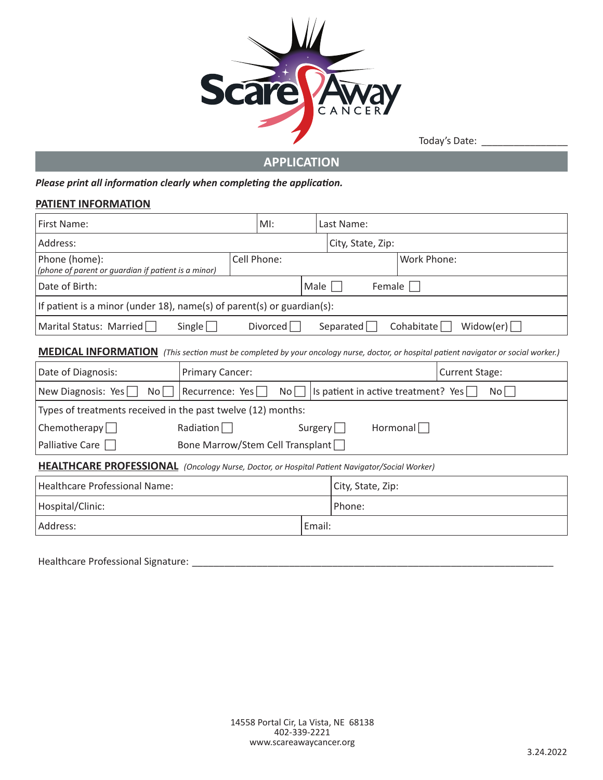

Today's Date: \_\_\_\_\_\_\_\_\_\_\_\_\_\_\_\_

**APPLICATION**

*Please print all information clearly when completing the application.*

#### **PATIENT INFORMATION**

| First Name:                                                                                                                                 |                        | $M!$ :          |                  | Last Name:                          |             |     |  |  |  |
|---------------------------------------------------------------------------------------------------------------------------------------------|------------------------|-----------------|------------------|-------------------------------------|-------------|-----|--|--|--|
| Address:                                                                                                                                    |                        |                 |                  | City, State, Zip:                   |             |     |  |  |  |
| Cell Phone:<br>Phone (home):<br>(phone of parent or quardian if patient is a minor)                                                         |                        |                 |                  |                                     | Work Phone: |     |  |  |  |
| Date of Birth:                                                                                                                              |                        |                 | Male  <br>Female |                                     |             |     |  |  |  |
| If patient is a minor (under 18), name(s) of parent(s) or guardian(s):                                                                      |                        |                 |                  |                                     |             |     |  |  |  |
| Marital Status: Married $\Box$<br>Single<br>Divorced $\Box$<br>Widow(er) $\sqrt{\phantom{a}}$<br>Separated  <br>Cohabitate                  |                        |                 |                  |                                     |             |     |  |  |  |
| <b>MEDICAL INFORMATION</b> (This section must be completed by your oncology nurse, doctor, or hospital patient navigator or social worker.) |                        |                 |                  |                                     |             |     |  |  |  |
| Date of Diagnosis:                                                                                                                          | <b>Primary Cancer:</b> |                 |                  | <b>Current Stage:</b>               |             |     |  |  |  |
| New Diagnosis: Yes<br>No l                                                                                                                  | Recurrence: Yes        | No <sub>1</sub> |                  | Is patient in active treatment? Yes |             | Nol |  |  |  |
| Types of treatments received in the past twelve (12) months:                                                                                |                        |                 |                  |                                     |             |     |  |  |  |
| Chemotherapy $\Box$<br>Radiation $\Box$<br>Surgery $\Box$<br>Hormonal                                                                       |                        |                 |                  |                                     |             |     |  |  |  |
| Palliative Care $\Box$<br>Bone Marrow/Stem Cell Transplant                                                                                  |                        |                 |                  |                                     |             |     |  |  |  |
| HEALTHCARE PROFESSIONAL (Oncology Nurse, Doctor, or Hospital Patient Navigator/Social Worker)                                               |                        |                 |                  |                                     |             |     |  |  |  |
| Healthcare Professional Name:                                                                                                               |                        |                 |                  | City, State, Zip:                   |             |     |  |  |  |
| Hospital/Clinic:                                                                                                                            |                        |                 | Phone:           |                                     |             |     |  |  |  |
| Address:                                                                                                                                    |                        |                 | Email:           |                                     |             |     |  |  |  |
|                                                                                                                                             |                        |                 |                  |                                     |             |     |  |  |  |

Healthcare Professional Signature: \_\_\_\_\_\_\_\_\_\_\_\_\_\_\_\_\_\_\_\_\_\_\_\_\_\_\_\_\_\_\_\_\_\_\_\_\_\_\_\_\_\_\_\_\_\_\_\_\_\_\_\_\_\_\_\_\_\_\_\_\_\_\_\_\_\_\_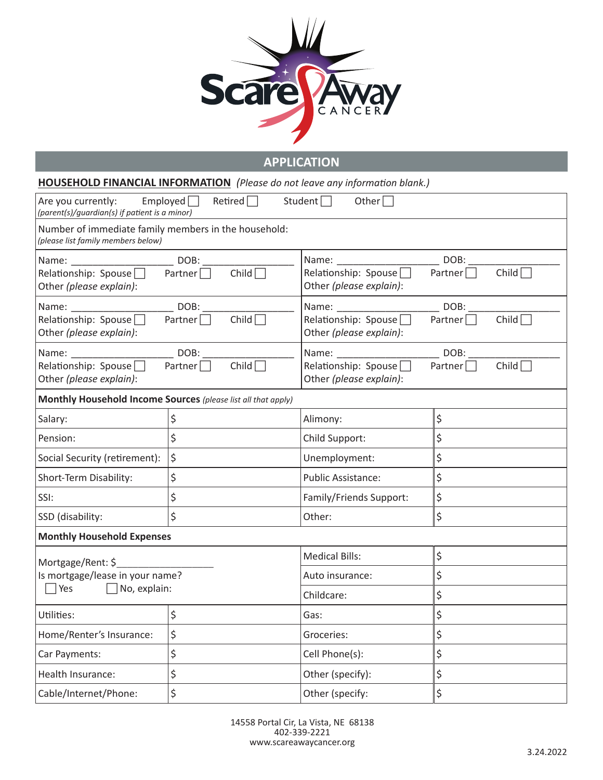

**APPLICATION**

|                                                                                                       | <b>HOUSEHOLD FINANCIAL INFORMATION</b> (Please do not leave any information blank.) |                                                                      |                                        |  |  |
|-------------------------------------------------------------------------------------------------------|-------------------------------------------------------------------------------------|----------------------------------------------------------------------|----------------------------------------|--|--|
| Are you currently: Employed $\Box$<br>(parent(s)/guardian(s) if patient is a minor)                   | Retired $\Box$                                                                      | Student $\Box$<br>Other $\Box$                                       |                                        |  |  |
| Number of immediate family members in the household:<br>(please list family members below)            |                                                                                     |                                                                      |                                        |  |  |
| Name: __________________________________ DOB: ____<br>Relationship: Spouse<br>Other (please explain): | Child $\Box$<br>Partner $\Box$                                                      | Relationship: Spouse $\Box$<br>Other (please explain):               | Child $\Box$<br>Partner $\Box$         |  |  |
| Relationship: Spouse $\Box$<br>Other (please explain):                                                | DOB:<br>Child $\Box$<br>Partner $\Box$                                              | Relationship: Spouse $\Box$<br>Other (please explain):               | DOB:<br>Child $\Box$<br>Partner $\Box$ |  |  |
| Relationship: Spouse $\square$<br>Other (please explain):                                             | DOB:<br>Child $\Box$<br>Partner $\Box$                                              | Name: DOB:<br>Relationship: Spouse $\Box$<br>Other (please explain): | Child $\Box$<br>Partner $\Box$         |  |  |
| Monthly Household Income Sources (please list all that apply)                                         |                                                                                     |                                                                      |                                        |  |  |
| Salary:                                                                                               | \$                                                                                  | Alimony:                                                             | \$                                     |  |  |
| Pension:                                                                                              | \$                                                                                  | Child Support:                                                       | \$                                     |  |  |
| Social Security (retirement):                                                                         | \$                                                                                  | Unemployment:                                                        | \$                                     |  |  |
| Short-Term Disability:                                                                                | \$                                                                                  | <b>Public Assistance:</b>                                            | \$                                     |  |  |
| SSI:                                                                                                  | \$                                                                                  | Family/Friends Support:                                              | \$                                     |  |  |
| SSD (disability:                                                                                      | $\zeta$                                                                             | Other:                                                               | \$                                     |  |  |
| <b>Monthly Household Expenses</b>                                                                     |                                                                                     |                                                                      |                                        |  |  |
| Mortgage/Rent: \$                                                                                     |                                                                                     | <b>Medical Bills:</b>                                                | \$                                     |  |  |
| Is mortgage/lease in your name?                                                                       |                                                                                     | Auto insurance:                                                      | \$                                     |  |  |
| $\Box$ Yes<br>$\Box$ No, explain:                                                                     |                                                                                     | Childcare:                                                           | \$                                     |  |  |
| Utilities:                                                                                            | \$                                                                                  | Gas:                                                                 | \$                                     |  |  |
| \$<br>Home/Renter's Insurance:                                                                        |                                                                                     | Groceries:                                                           | \$                                     |  |  |
| \$<br>Car Payments:                                                                                   |                                                                                     | Cell Phone(s):                                                       | \$                                     |  |  |
| \$<br>Health Insurance:                                                                               |                                                                                     | Other (specify):                                                     | \$                                     |  |  |
| \$<br>Cable/Internet/Phone:                                                                           |                                                                                     | Other (specify:                                                      | \$                                     |  |  |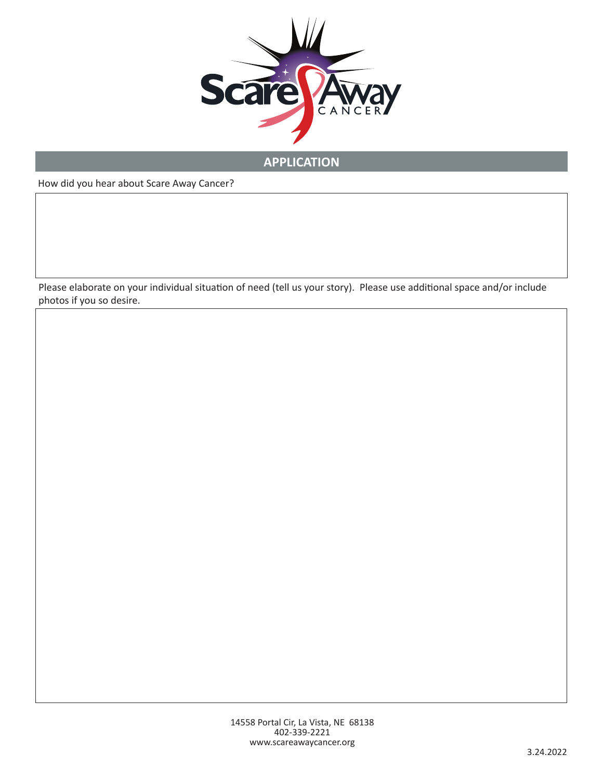

# **APPLICATION**

How did you hear about Scare Away Cancer?

Please elaborate on your individual situation of need (tell us your story). Please use additional space and/or include photos if you so desire.